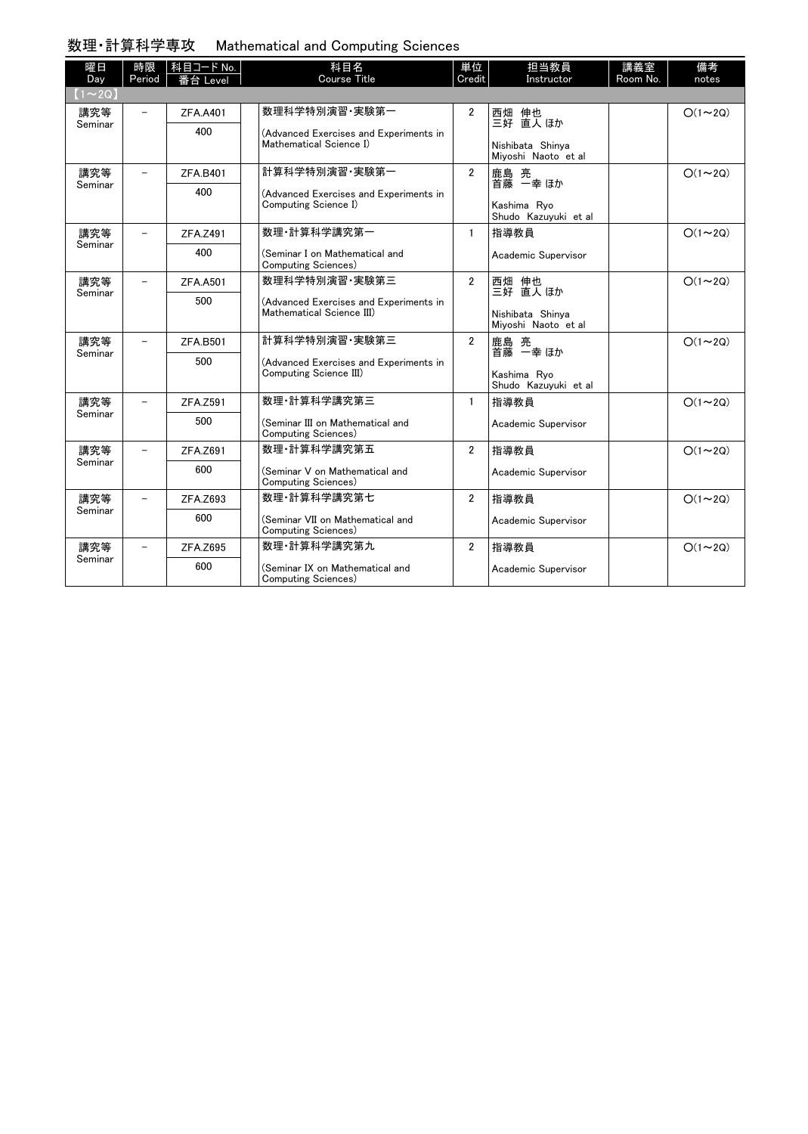## 数理・計算科学専攻 Mathematical and Computing Sciences

| 曜日<br>Day      | 時限<br>Period             | │科目コード No.<br>番台 Level | 科目名<br>Course Title                                                               | 単位<br>Credit   | 担当教員<br>Instructor                      | 講義室<br>Room No. | 備考<br>notes   |
|----------------|--------------------------|------------------------|-----------------------------------------------------------------------------------|----------------|-----------------------------------------|-----------------|---------------|
| $(1\sim 2Q)$   |                          |                        |                                                                                   |                |                                         |                 |               |
| 講究等<br>Seminar | $\overline{\phantom{0}}$ | ZFA.A401               | 数理科学特別演習 実験第一                                                                     | $\overline{2}$ | 西畑 伸也<br>三好 直人 ほか                       |                 | $O(1\sim 2Q)$ |
|                |                          | 400                    | (Advanced Exercises and Experiments in<br>Mathematical Science I)                 |                |                                         |                 |               |
|                |                          |                        |                                                                                   |                | Nishibata Shinya<br>Mivoshi Naoto et al |                 |               |
| 講究等            | $\overline{\phantom{0}}$ | <b>ZFA.B401</b>        | 計算科学特別演習·実験第一<br>(Advanced Exercises and Experiments in<br>Computing Science I)   | $\overline{2}$ | 鹿島 亮<br>首藤 一幸 ほか                        |                 | $O(1\sim 2Q)$ |
| Seminar        |                          | 400                    |                                                                                   |                |                                         |                 |               |
|                |                          |                        |                                                                                   |                | Kashima Rvo<br>Shudo Kazuyuki et al     |                 |               |
| 講究等<br>Seminar |                          | ZFA.Z491               | 数理 計算科学講究第一                                                                       | $\mathbf{1}$   | 指導教員                                    |                 | $O(1\sim 2Q)$ |
|                |                          | 400                    | (Seminar I on Mathematical and<br>Computing Sciences)                             |                | Academic Supervisor                     |                 |               |
| 講究等<br>Seminar | $\overline{\phantom{0}}$ | <b>ZFA.A501</b>        | 数理科学特別演習·実験第三                                                                     | $\overline{2}$ | 西畑 伸也<br>三好 直人 ほか                       |                 | $O(1\sim 2Q)$ |
|                |                          | 500                    | (Advanced Exercises and Experiments in<br>Mathematical Science III)               |                |                                         |                 |               |
|                |                          |                        |                                                                                   |                | Nishibata Shinva<br>Mivoshi Naoto et al |                 |               |
| 講究等            |                          | ZFA.B501               | 計算科学特別演習 実験第三<br>(Advanced Exercises and Experiments in<br>Computing Science III) | $\overline{2}$ | 鹿島 亮<br>首藤 一幸 ほか                        |                 | $O(1\sim 2Q)$ |
| Seminar        |                          | 500                    |                                                                                   |                |                                         |                 |               |
|                |                          |                        |                                                                                   |                | Kashima Ryo<br>Shudo Kazuyuki et al     |                 |               |
| 講究等<br>Seminar | $\overline{\phantom{0}}$ | ZFA.Z591               | 数理·計算科学講究第三                                                                       | $\mathbf{1}$   | 指導教員                                    |                 | $O(1\sim 2Q)$ |
|                |                          | 500                    | (Seminar III on Mathematical and<br>Computing Sciences)                           |                | Academic Supervisor                     |                 |               |
| 講究等<br>Seminar |                          | ZFA.Z691               | 数理 計算科学講究第五                                                                       | $\overline{2}$ | 指導教員                                    |                 | $O(1\sim 2Q)$ |
|                |                          | 600                    | (Seminar V on Mathematical and<br>Computing Sciences)                             |                | Academic Supervisor                     |                 |               |
| 講究等<br>Seminar |                          | ZFA.Z693               | 数理·計算科学講究第七                                                                       | $\overline{2}$ | 指導教員                                    |                 | $O(1\sim 2Q)$ |
|                |                          | 600                    | (Seminar VII on Mathematical and<br>Computing Sciences)                           |                | Academic Supervisor                     |                 |               |
| 講究等<br>Seminar |                          | ZFA.Z695               | 数理·計算科学講究第九                                                                       | $\overline{2}$ | 指導教員                                    |                 | $O(1\sim 2Q)$ |
|                |                          | 600                    | (Seminar IX on Mathematical and<br>Computing Sciences)                            |                | Academic Supervisor                     |                 |               |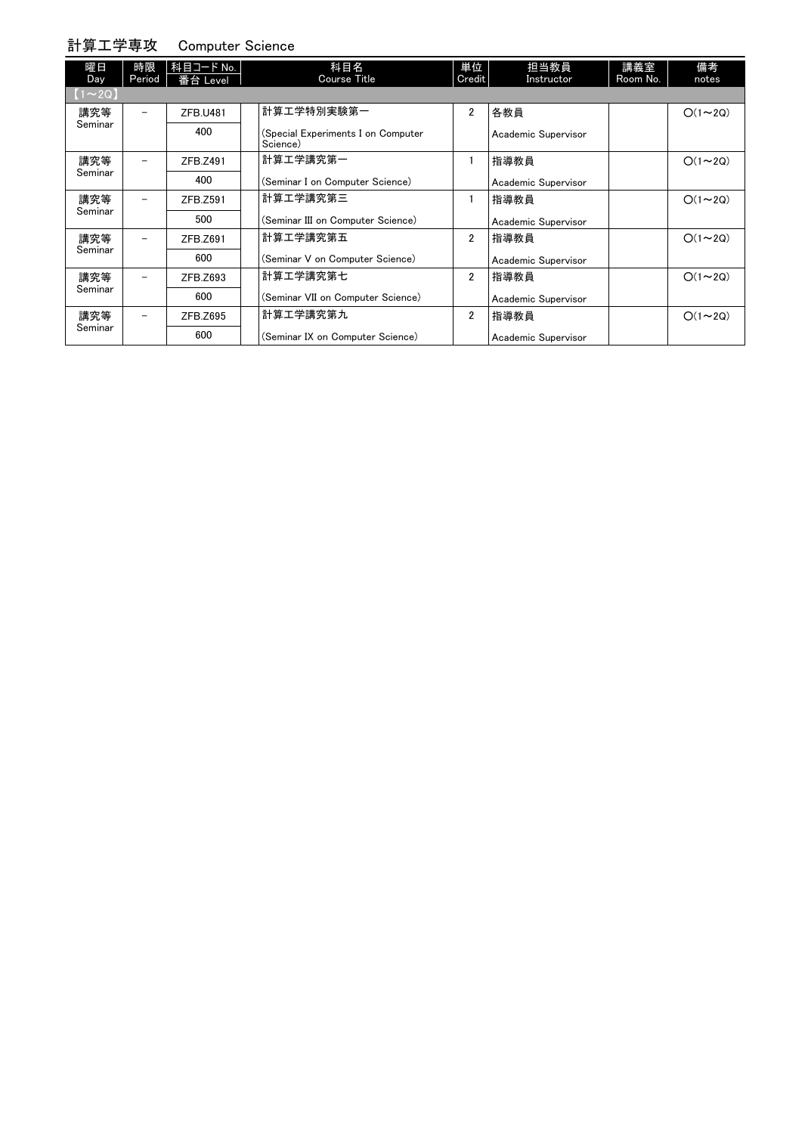## 計算工学専攻 Computer Science

| 曜日<br>Day      | 時限<br>Period             | 科目コード No.<br>番台 Level | 科目名<br>Course Title                            | 単位<br>Credit   | 担当教員<br>Instructor  | 講義室<br>Room No. | 備考<br>notes   |
|----------------|--------------------------|-----------------------|------------------------------------------------|----------------|---------------------|-----------------|---------------|
| $[1 \sim 2Q]$  |                          |                       |                                                |                |                     |                 |               |
| 講究等<br>Seminar | $\overline{\phantom{0}}$ | <b>ZFB.U481</b>       | 計算工学特別実験第一                                     | $\overline{2}$ | 各教員                 |                 | $O(1\sim 2Q)$ |
|                |                          | 400                   | (Special Experiments I on Computer<br>Science) |                | Academic Supervisor |                 |               |
| 講究等<br>Seminar |                          | ZFB.Z491              | 計算工学講究第一                                       |                | 指導教員                |                 | $O(1\sim 2Q)$ |
|                |                          | 400                   | (Seminar I on Computer Science)                |                | Academic Supervisor |                 |               |
| 講究等<br>Seminar | $\overline{\phantom{0}}$ | ZFB.Z591              | 計算工学講究第三                                       |                | 指導教員                |                 | $O(1\sim 2Q)$ |
|                |                          | 500                   | (Seminar III on Computer Science)              |                | Academic Supervisor |                 |               |
| 講究等<br>Seminar | $\overline{\phantom{0}}$ | ZFB.Z691              | 計算工学講究第五                                       | $\overline{2}$ | 指導教員                |                 | $O(1\sim 2Q)$ |
|                |                          | 600                   | (Seminar V on Computer Science)                |                | Academic Supervisor |                 |               |
| 講究等<br>Seminar |                          | ZFB.Z693              | 計算工学講究第七                                       | $\overline{2}$ | 指導教員                |                 | $O(1\sim 2Q)$ |
|                |                          | 600                   | (Seminar VII on Computer Science)              |                | Academic Supervisor |                 |               |
| 講究等<br>Seminar | $\overline{\phantom{m}}$ | ZFB.Z695              | 計算工学講究第九                                       | $\overline{2}$ | 指導教員                |                 | $O(1\sim 2Q)$ |
|                |                          | 600                   | (Seminar IX on Computer Science)               |                | Academic Supervisor |                 |               |